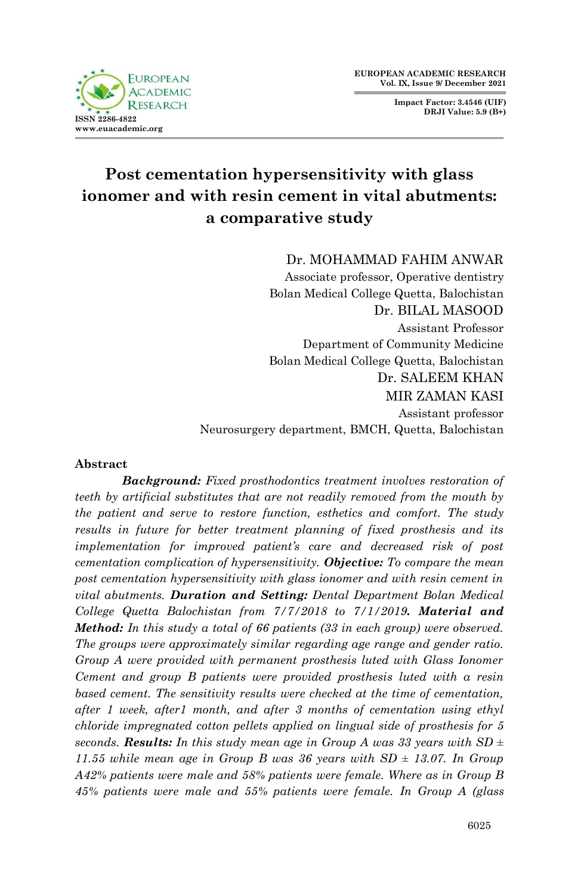

**Impact Factor: 3.4546 (UIF) DRJI Value: 5.9 (B+)**

# **Post cementation hypersensitivity with glass ionomer and with resin cement in vital abutments: a comparative study**

Dr. MOHAMMAD FAHIM ANWAR

Associate professor, Operative dentistry Bolan Medical College Quetta, Balochistan Dr. BILAL MASOOD Assistant Professor Department of Community Medicine Bolan Medical College Quetta, Balochistan Dr. SALEEM KHAN MIR ZAMAN KASI Assistant professor Neurosurgery department, BMCH, Quetta, Balochistan

## **Abstract**

*Background: Fixed prosthodontics treatment involves restoration of teeth by artificial substitutes that are not readily removed from the mouth by the patient and serve to restore function, esthetics and comfort. The study results in future for better treatment planning of fixed prosthesis and its implementation for improved patient's care and decreased risk of post cementation complication of hypersensitivity. Objective: To compare the mean post cementation hypersensitivity with glass ionomer and with resin cement in vital abutments. Duration and Setting: Dental Department Bolan Medical College Quetta Balochistan from 7/7/2018 to 7/1/2019. Material and Method: In this study a total of 66 patients (33 in each group) were observed. The groups were approximately similar regarding age range and gender ratio. Group A were provided with permanent prosthesis luted with Glass Ionomer Cement and group B patients were provided prosthesis luted with a resin based cement. The sensitivity results were checked at the time of cementation, after 1 week, after1 month, and after 3 months of cementation using ethyl chloride impregnated cotton pellets applied on lingual side of prosthesis for 5*  seconds. **Results:** In this study mean age in Group A was 33 years with  $SD \pm$ 11.55 while mean age in Group B was 36 years with  $SD = 13.07$ . In Group *A42% patients were male and 58% patients were female. Where as in Group B 45% patients were male and 55% patients were female. In Group A (glass*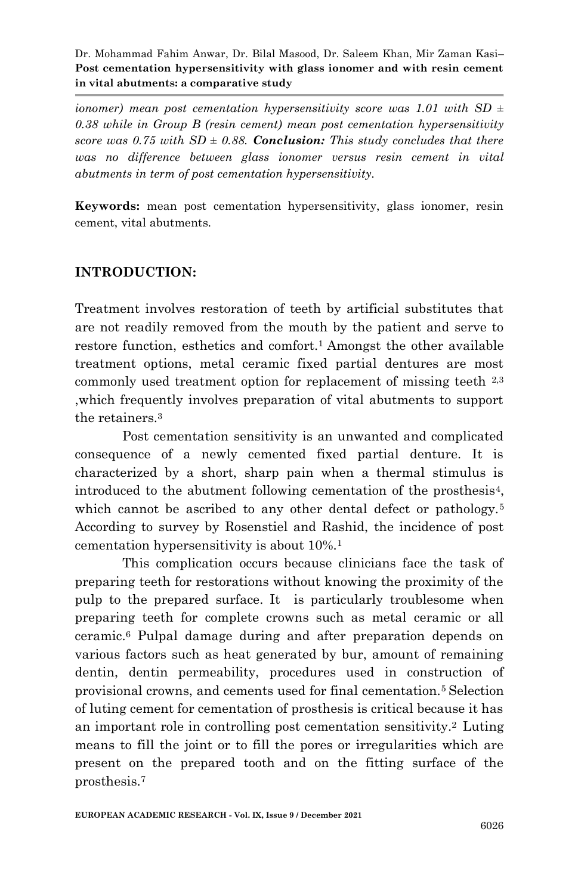*ionomer)* mean post cementation hypersensitivity score was 1.01 with SD  $\pm$ *0.38 while in Group B (resin cement) mean post cementation hypersensitivity score was 0.75 with SD*  $\pm$  *0.88. Conclusion: This study concludes that there was no difference between glass ionomer versus resin cement in vital abutments in term of post cementation hypersensitivity.*

**Keywords:** mean post cementation hypersensitivity, glass ionomer, resin cement, vital abutments.

# **INTRODUCTION:**

Treatment involves restoration of teeth by artificial substitutes that are not readily removed from the mouth by the patient and serve to restore function, esthetics and comfort.<sup>1</sup> Amongst the other available treatment options, metal ceramic fixed partial dentures are most commonly used treatment option for replacement of missing teeth 2,3 ,which frequently involves preparation of vital abutments to support the retainers.<sup>3</sup>

Post cementation sensitivity is an unwanted and complicated consequence of a newly cemented fixed partial denture. It is characterized by a short, sharp pain when a thermal stimulus is introduced to the abutment following cementation of the prosthesis4, which cannot be ascribed to any other dental defect or pathology.<sup>5</sup> According to survey by Rosenstiel and Rashid, the incidence of post cementation hypersensitivity is about 10%.<sup>1</sup>

This complication occurs because clinicians face the task of preparing teeth for restorations without knowing the proximity of the pulp to the prepared surface. It is particularly troublesome when preparing teeth for complete crowns such as metal ceramic or all ceramic.<sup>6</sup> Pulpal damage during and after preparation depends on various factors such as heat generated by bur, amount of remaining dentin, dentin permeability, procedures used in construction of provisional crowns, and cements used for final cementation.5 Selection of luting cement for cementation of prosthesis is critical because it has an important role in controlling post cementation sensitivity.2 Luting means to fill the joint or to fill the pores or irregularities which are present on the prepared tooth and on the fitting surface of the prosthesis.7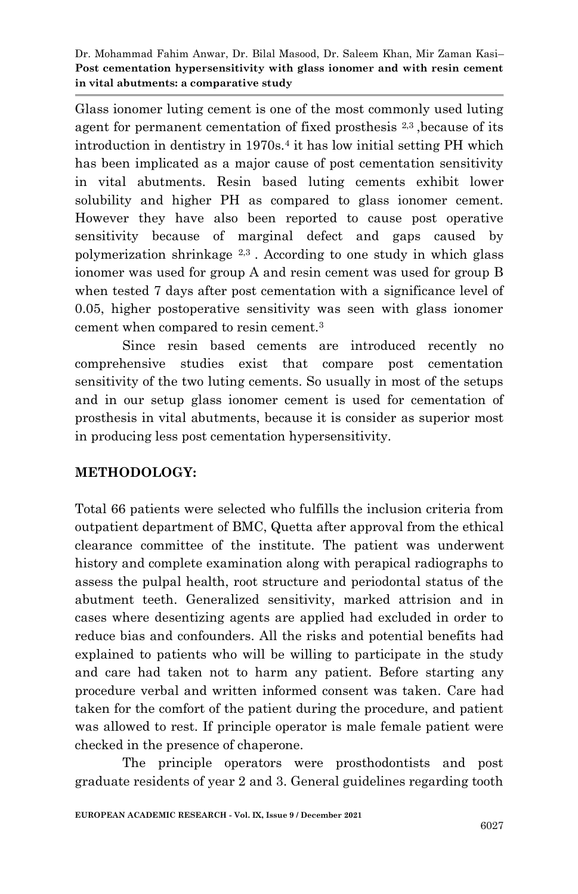Glass ionomer luting cement is one of the most commonly used luting agent for permanent cementation of fixed prosthesis 2,3 ,because of its introduction in dentistry in 1970s.<sup>4</sup> it has low initial setting PH which has been implicated as a major cause of post cementation sensitivity in vital abutments. Resin based luting cements exhibit lower solubility and higher PH as compared to glass ionomer cement. However they have also been reported to cause post operative sensitivity because of marginal defect and gaps caused by polymerization shrinkage  $2,3$ . According to one study in which glass ionomer was used for group A and resin cement was used for group B when tested 7 days after post cementation with a significance level of 0.05, higher postoperative sensitivity was seen with glass ionomer cement when compared to resin cement.<sup>3</sup>

Since resin based cements are introduced recently no comprehensive studies exist that compare post cementation sensitivity of the two luting cements. So usually in most of the setups and in our setup glass ionomer cement is used for cementation of prosthesis in vital abutments, because it is consider as superior most in producing less post cementation hypersensitivity.

# **METHODOLOGY:**

Total 66 patients were selected who fulfills the inclusion criteria from outpatient department of BMC, Quetta after approval from the ethical clearance committee of the institute. The patient was underwent history and complete examination along with perapical radiographs to assess the pulpal health, root structure and periodontal status of the abutment teeth. Generalized sensitivity, marked attrision and in cases where desentizing agents are applied had excluded in order to reduce bias and confounders. All the risks and potential benefits had explained to patients who will be willing to participate in the study and care had taken not to harm any patient. Before starting any procedure verbal and written informed consent was taken*.* Care had taken for the comfort of the patient during the procedure, and patient was allowed to rest. If principle operator is male female patient were checked in the presence of chaperone.

The principle operators were prosthodontists and post graduate residents of year 2 and 3. General guidelines regarding tooth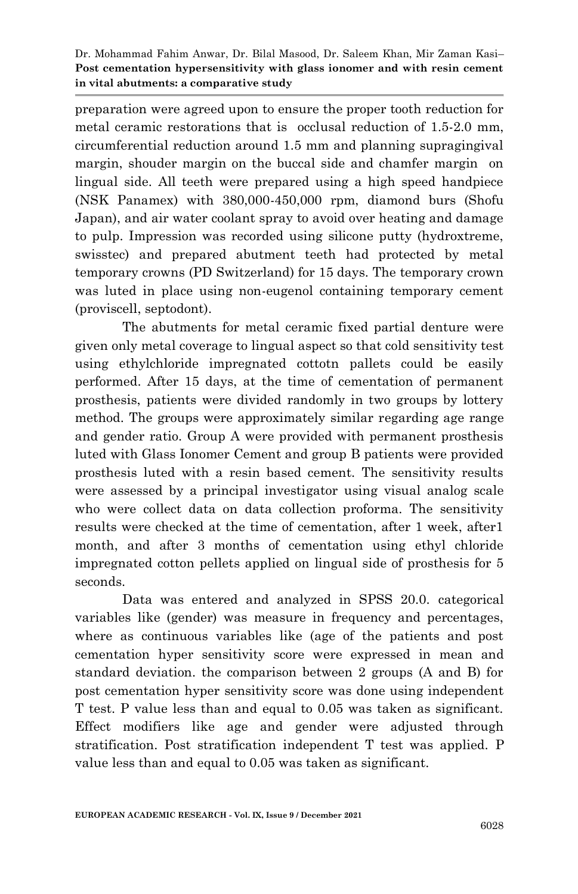preparation were agreed upon to ensure the proper tooth reduction for metal ceramic restorations that is occlusal reduction of 1.5-2.0 mm, circumferential reduction around 1.5 mm and planning supragingival margin, shouder margin on the buccal side and chamfer margin on lingual side. All teeth were prepared using a high speed handpiece (NSK Panamex) with 380,000-450,000 rpm, diamond burs (Shofu Japan), and air water coolant spray to avoid over heating and damage to pulp. Impression was recorded using silicone putty (hydroxtreme, swisstec) and prepared abutment teeth had protected by metal temporary crowns (PD Switzerland) for 15 days. The temporary crown was luted in place using non-eugenol containing temporary cement (proviscell, septodont).

The abutments for metal ceramic fixed partial denture were given only metal coverage to lingual aspect so that cold sensitivity test using ethylchloride impregnated cottotn pallets could be easily performed. After 15 days, at the time of cementation of permanent prosthesis, patients were divided randomly in two groups by lottery method. The groups were approximately similar regarding age range and gender ratio. Group A were provided with permanent prosthesis luted with Glass Ionomer Cement and group B patients were provided prosthesis luted with a resin based cement. The sensitivity results were assessed by a principal investigator using visual analog scale who were collect data on data collection proforma. The sensitivity results were checked at the time of cementation, after 1 week, after1 month, and after 3 months of cementation using ethyl chloride impregnated cotton pellets applied on lingual side of prosthesis for 5 seconds.

Data was entered and analyzed in SPSS 20.0. categorical variables like (gender) was measure in frequency and percentages, where as continuous variables like (age of the patients and post cementation hyper sensitivity score were expressed in mean and standard deviation. the comparison between 2 groups (A and B) for post cementation hyper sensitivity score was done using independent T test. P value less than and equal to 0.05 was taken as significant. Effect modifiers like age and gender were adjusted through stratification. Post stratification independent T test was applied. P value less than and equal to 0.05 was taken as significant.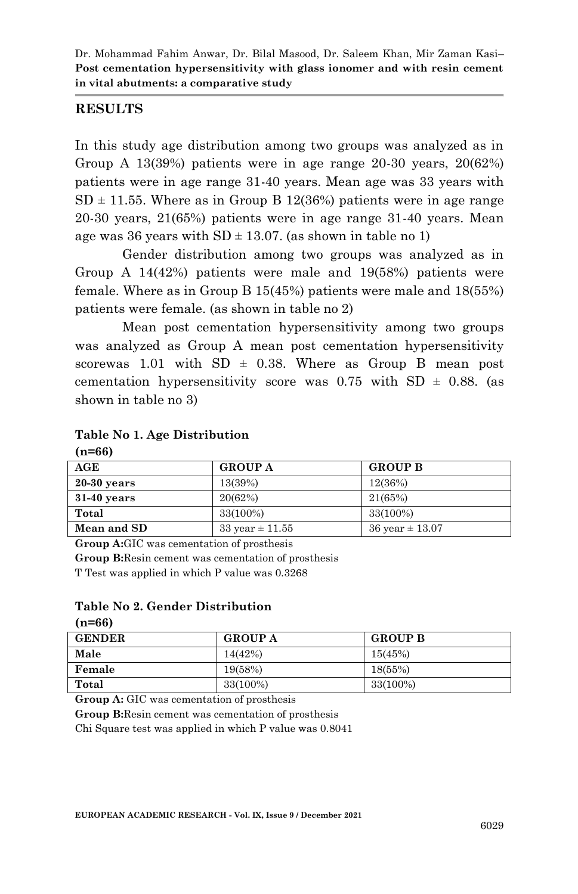### **RESULTS**

In this study age distribution among two groups was analyzed as in Group A 13(39%) patients were in age range 20-30 years, 20(62%) patients were in age range 31-40 years. Mean age was 33 years with  $SD \pm 11.55$ . Where as in Group B 12(36%) patients were in age range 20-30 years, 21(65%) patients were in age range 31-40 years. Mean age was 36 years with  $SD \pm 13.07$ . (as shown in table no 1)

Gender distribution among two groups was analyzed as in Group A 14(42%) patients were male and 19(58%) patients were female. Where as in Group B 15(45%) patients were male and 18(55%) patients were female. (as shown in table no 2)

Mean post cementation hypersensitivity among two groups was analyzed as Group A mean post cementation hypersensitivity scorewas 1.01 with  $SD \pm 0.38$ . Where as Group B mean post cementation hypersensitivity score was  $0.75$  with SD  $\pm$  0.88. (as shown in table no 3)

#### **Table No 1. Age Distribution**

| , 11 00,      |                             |                             |  |  |
|---------------|-----------------------------|-----------------------------|--|--|
| AGE           | <b>GROUP A</b>              | <b>GROUP B</b>              |  |  |
| $20-30$ years | 13(39%)                     | 12(36%)                     |  |  |
| $31-40$ years | 20(62%)                     | 21(65%)                     |  |  |
| Total         | 33(100%)                    | 33(100%)                    |  |  |
| Mean and SD   | $33 \text{ year} \pm 11.55$ | $36 \text{ year} \pm 13.07$ |  |  |

**(n=66)** 

 $\overline{a}$ 

**Group A:**GIC was cementation of prosthesis

**Group B:**Resin cement was cementation of prosthesis T Test was applied in which P value was 0.3268

## **Table No 2. Gender Distribution**

| $(n=66)$      |                |                |  |  |
|---------------|----------------|----------------|--|--|
| <b>GENDER</b> | <b>GROUP A</b> | <b>GROUP B</b> |  |  |
| Male          | 14(42%)        | 15(45%)        |  |  |
| Female        | 19(58%)        | 18(55%)        |  |  |
| Total         | 33(100%)       | 33(100%)       |  |  |

**Group A:** GIC was cementation of prosthesis

**Group B:**Resin cement was cementation of prosthesis

Chi Square test was applied in which P value was 0.8041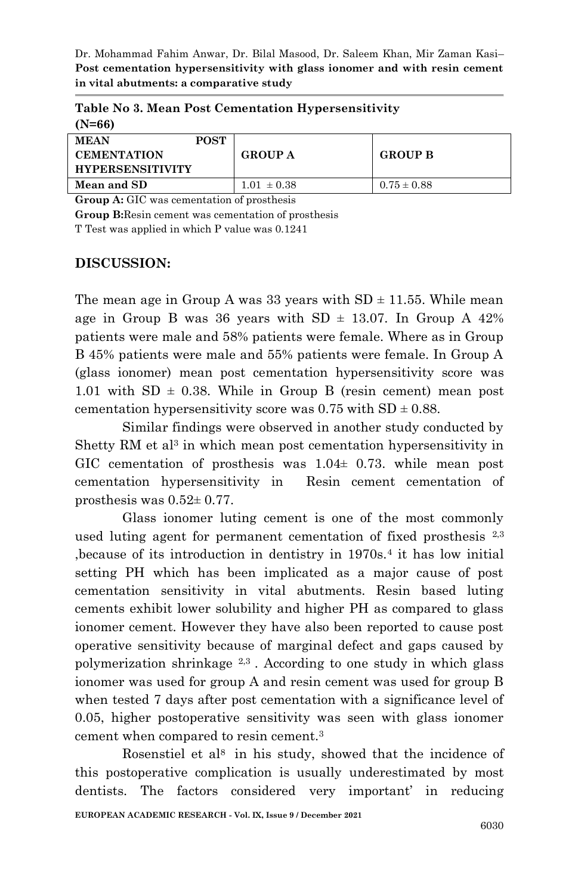| $(N=66)$                          |             |                 |                 |
|-----------------------------------|-------------|-----------------|-----------------|
| <b>MEAN</b><br><b>CEMENTATION</b> | <b>POST</b> | <b>GROUP A</b>  | <b>GROUP B</b>  |
| <b>HYPERSENSITIVITY</b>           |             |                 |                 |
| Mean and SD                       |             | $1.01 \pm 0.38$ | $0.75 \pm 0.88$ |

**Table No 3. Mean Post Cementation Hypersensitivity**

**Group A:** GIC was cementation of prosthesis

**Group B:**Resin cement was cementation of prosthesis

T Test was applied in which P value was 0.1241

## **DISCUSSION:**

The mean age in Group A was 33 years with  $SD \pm 11.55$ . While mean age in Group B was 36 years with SD  $\pm$  13.07. In Group A 42% patients were male and 58% patients were female. Where as in Group B 45% patients were male and 55% patients were female. In Group A (glass ionomer) mean post cementation hypersensitivity score was 1.01 with  $SD \pm 0.38$ . While in Group B (resin cement) mean post cementation hypersensitivity score was  $0.75$  with  $SD \pm 0.88$ .

Similar findings were observed in another study conducted by Shetty RM et al<sup>3</sup> in which mean post cementation hypersensitivity in GIC cementation of prosthesis was  $1.04 \pm 0.73$ . while mean post cementation hypersensitivity in Resin cement cementation of prosthesis was 0.52± 0.77.

Glass ionomer luting cement is one of the most commonly used luting agent for permanent cementation of fixed prosthesis <sup>2,3</sup> ,because of its introduction in dentistry in 1970s.<sup>4</sup> it has low initial setting PH which has been implicated as a major cause of post cementation sensitivity in vital abutments. Resin based luting cements exhibit lower solubility and higher PH as compared to glass ionomer cement. However they have also been reported to cause post operative sensitivity because of marginal defect and gaps caused by polymerization shrinkage  $2,3$ . According to one study in which glass ionomer was used for group A and resin cement was used for group B when tested 7 days after post cementation with a significance level of 0.05, higher postoperative sensitivity was seen with glass ionomer cement when compared to resin cement.<sup>3</sup>

Rosenstiel et al<sup>8</sup> in his study, showed that the incidence of this postoperative complication is usually underestimated by most dentists. The factors considered very important' in reducing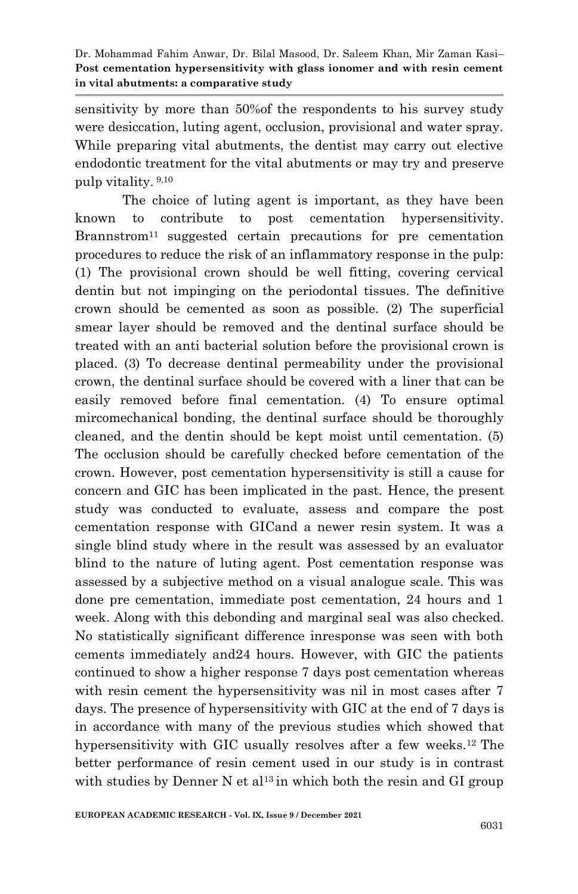sensitivity by more than 50%of the respondents to his survey study were desiccation, luting agent, occlusion, provisional and water spray. While preparing vital abutments, the dentist may carry out elective endodontic treatment for the vital abutments or may try and preserve pulp vitality. 9,10

The choice of luting agent is important, as they have been known to contribute to post cementation hypersensitivity. Brannstrom<sup>11</sup> suggested certain precautions for pre cementation procedures to reduce the risk of an inflammatory response in the pulp: (1) The provisional crown should be well fitting, covering cervical dentin but not impinging on the periodontal tissues. The definitive crown should be cemented as soon as possible. (2) The superficial smear layer should be removed and the dentinal surface should be treated with an anti bacterial solution before the provisional crown is placed. (3) To decrease dentinal permeability under the provisional crown, the dentinal surface should be covered with a liner that can be easily removed before final cementation. (4) To ensure optimal mircomechanical bonding, the dentinal surface should be thoroughly cleaned, and the dentin should be kept moist until cementation. (5) The occlusion should be carefully checked before cementation of the crown. However, post cementation hypersensitivity is still a cause for concern and GIC has been implicated in the past. Hence, the present study was conducted to evaluate, assess and compare the post cementation response with GICand a newer resin system. It was a single blind study where in the result was assessed by an evaluator blind to the nature of luting agent. Post cementation response was assessed by a subjective method on a visual analogue scale. This was done pre cementation, immediate post cementation, 24 hours and 1 week. Along with this debonding and marginal seal was also checked. No statistically significant difference inresponse was seen with both cements immediately and24 hours. However, with GIC the patients continued to show a higher response 7 days post cementation whereas with resin cement the hypersensitivity was nil in most cases after 7 days. The presence of hypersensitivity with GIC at the end of 7 days is in accordance with many of the previous studies which showed that hypersensitivity with GIC usually resolves after a few weeks.12 The better performance of resin cement used in our study is in contrast with studies by Denner N et al<sup>13</sup> in which both the resin and GI group